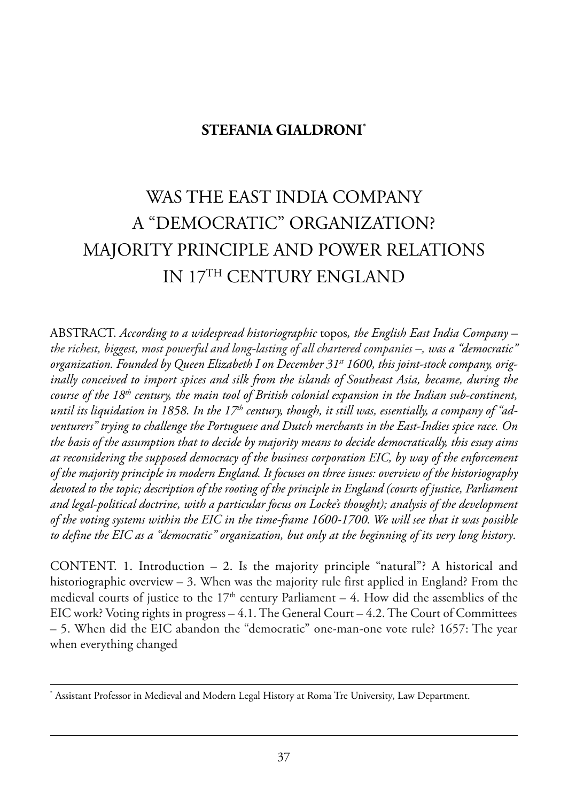## **STEFANIA GIALDRONI\***

# was the east india CompanY a "demoCratiC" orGaniZation? maJoritY prinCiple and power relations in 17th CenturY enGland

aBstraCt. *According to a widespread historiographic* topos*, the English East India Company – the richest, biggest, most powerful and long-lasting of all chartered companies –, was a "democratic"* organization. Founded by Queen Elizabeth I on December 31<sup>st</sup> 1600, this joint-stock company, orig*inally conceived to import spices and silk from the islands of Southeast Asia, became, during the course of the 18th century, the main tool of British colonial expansion in the Indian sub-continent,* until its liquidation in 1858. In the 17<sup>th</sup> century, though, it still was, essentially, a company of "ad*venturers" trying to challenge the Portuguese and Dutch merchants in the East-Indies spice race. On the basis of the assumption that to decide by majority means to decide democratically, this essay aims at reconsidering the supposed democracy of the business corporation EIC, by way of the enforcement of the majority principle in modern England. It focuses on three issues: overview of the historiography devoted to the topic; description of the rooting of the principle in England (courts of justice, Parliament and legal-political doctrine, with a particular focus on Locke's thought); analysis of the development of the voting systems within the EIC in the time-frame 1600-1700. We will see that it was possible to define the EIC as a "democratic" organization, but only at the beginning of its very long history*.

CONTENT. 1. Introduction  $-2$ . Is the majority principle "natural"? A historical and historiographic overview  $-3$ . When was the majority rule first applied in England? From the medieval courts of justice to the  $17<sup>th</sup>$  century Parliament – 4. How did the assemblies of the EIC work? Voting rights in progress  $-4.1$ . The General Court  $-4.2$ . The Court of Committees – 5. when did the eiC abandon the "democratic" one-man-one vote rule? 1657: the year when everything changed

Assistant Professor in Medieval and Modern Legal History at Roma Tre University, Law Department.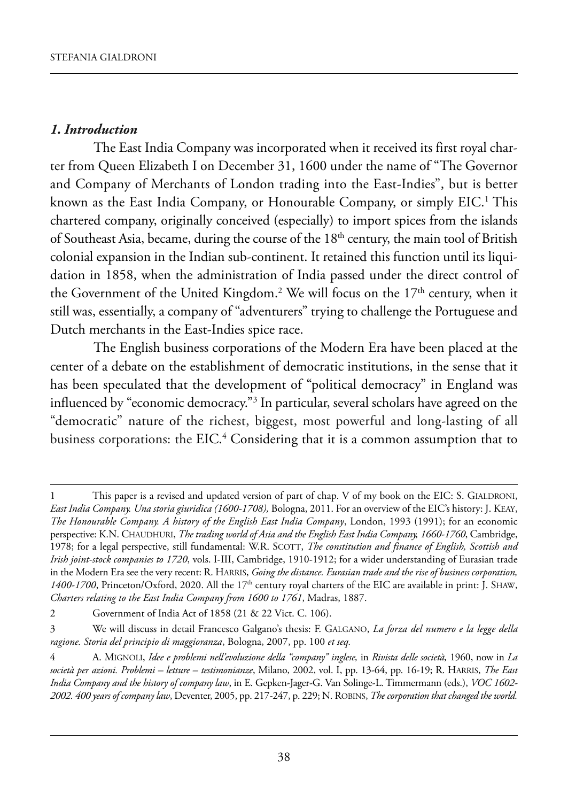#### *1. Introduction*

The East India Company was incorporated when it received its first royal charter from Queen Elizabeth I on December 31, 1600 under the name of "The Governor and Company of Merchants of London trading into the East-Indies", but is better known as the East India Company, or Honourable Company, or simply EIC.<sup>1</sup> This chartered company, originally conceived (especially) to import spices from the islands of Southeast Asia, became, during the course of the 18<sup>th</sup> century, the main tool of British colonial expansion in the Indian sub-continent. It retained this function until its liquidation in 1858, when the administration of india passed under the direct control of the Government of the United Kingdom.<sup>2</sup> We will focus on the  $17<sup>th</sup>$  century, when it still was, essentially, a company of "adventurers" trying to challenge the Portuguese and Dutch merchants in the East-Indies spice race.

The English business corporations of the Modern Era have been placed at the center of a debate on the establishment of democratic institutions, in the sense that it has been speculated that the development of "political democracy" in England was influenced by "economic democracy."<sup>3</sup> In particular, several scholars have agreed on the "democratic" nature of the richest, biggest, most powerful and long-lasting of all business corporations: the EIC.<sup>4</sup> Considering that it is a common assumption that to

<sup>1</sup> This paper is a revised and updated version of part of chap. V of my book on the EIC: S. GIALDRONI, *East India Company. Una storia giuridica (1600-1708)*, Bologna, 2011. For an overview of the EIC's history: J. KEAY, *The Honourable Company. A history of the English East India Company*, london, 1993 (1991); for an economic perspective: K.N. CHAUDHURI, *The trading world of Asia and the English East India Company*, 1660-1760, Cambridge, 1978; for a legal perspective, still fundamental: W.R. SCOTT, *The constitution and finance of English, Scottish and Irish joint-stock companies to 1720*, vols. I-III, Cambridge, 1910-1912; for a wider understanding of Eurasian trade in the Modern Era see the very recent: R. HARRIS, *Going the distance. Eurasian trade and the rise of business corporation*, *1400-1700*, Princeton/Oxford, 2020. All the 17<sup>th</sup> century royal charters of the EIC are available in print: J. SHAW, *Charters relating to the East India Company from 1600 to 1761*, madras, 1887.

<sup>2</sup> Government of india act of 1858 (21 & 22 Vict. C. 106).

<sup>3</sup> we will discuss in detail francesco Galgano's thesis: f. GalGano, *La forza del numero e la legge della ragione. Storia del principio di maggioranza*, Bologna, 2007, pp. 100 *et seq.*

<sup>4</sup> a. miGnoli, *Idee e problemi nell'evoluzione della "company" inglese,* in *Rivista delle società,* 1960, now in *La società per azioni. Problemi – letture – testimonianze*, milano, 2002, vol. i, pp. 13-64, pp. 16-19; r. harris, *The East India Company and the history of company law*, in E. Gepken-Jager-G. Van Solinge-L. Timmermann (eds.), *VOC 1602-2002. 400 years of company law*, deventer, 2005, pp. 217-247, p. 229; n. roBins, *The corporation that changed the world.*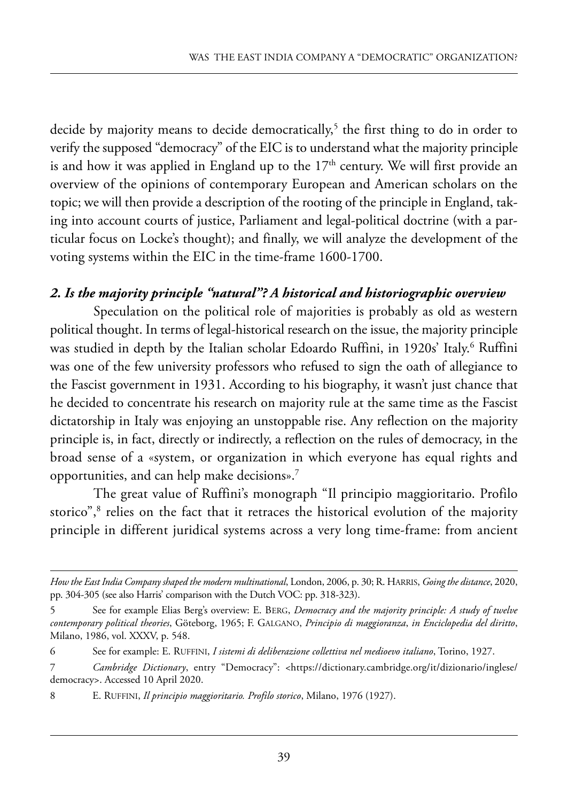decide by majority means to decide democratically,<sup>5</sup> the first thing to do in order to verify the supposed "democracy" of the EIC is to understand what the majority principle is and how it was applied in England up to the  $17<sup>th</sup>$  century. We will first provide an overview of the opinions of contemporary european and american scholars on the topic; we will then provide a description of the rooting of the principle in England, taking into account courts of justice, parliament and legal-political doctrine (with a particular focus on locke's thought); and finally, we will analyze the development of the voting systems within the EIC in the time-frame 1600-1700.

#### *2. Is the majority principle "natural"? A historical and historiographic overview*

speculation on the political role of majorities is probably as old as western political thought. in terms of legal-historical research on the issue, the majority principle was studied in depth by the Italian scholar Edoardo Ruffini, in 1920s' Italy.<sup>6</sup> Ruffini was one of the few university professors who refused to sign the oath of allegiance to the fascist government in 1931. according to his biography, it wasn't just chance that he decided to concentrate his research on majority rule at the same time as the fascist dictatorship in Italy was enjoying an unstoppable rise. Any reflection on the majority principle is, in fact, directly or indirectly, a reflection on the rules of democracy, in the broad sense of a «system, or organization in which everyone has equal rights and opportunities, and can help make decisions».7

The great value of Ruffini's monograph "Il principio maggioritario. Profilo storico",<sup>8</sup> relies on the fact that it retraces the historical evolution of the majority principle in different juridical systems across a very long time-frame: from ancient

*How the East India Company shaped the modern multinational*, london, 2006, p. 30; r. harris, *Going the distance*, 2020, pp. 304-305 (see also Harris' comparison with the Dutch VOC: pp. 318-323).

<sup>5</sup> see for example elias Berg's overview: e. BerG, *Democracy and the majority principle: A study of twelve contemporary political theories*, Göteborg, 1965; f. GalGano, *Principio di maggioranza*, *in Enciclopedia del diritto*, milano, 1986, vol. XXXV, p. 548.

<sup>6</sup> see for example: e. ruffini, *I sistemi di deliberazione collettiva nel medioevo italiano*, torino, 1927.

<sup>7</sup> *Cambridge Dictionary*, entry "Democracy": [<https://dictionary.cambridge.org/it/dizionario/inglese/](https://dictionary.cambridge.org/it/dizionario/inglese/democracy) [democracy>.](https://dictionary.cambridge.org/it/dizionario/inglese/democracy) Accessed 10 April 2020.

<sup>8</sup> E. RUFFINI, *Il principio maggioritario. Profilo storico*, Milano, 1976 (1927).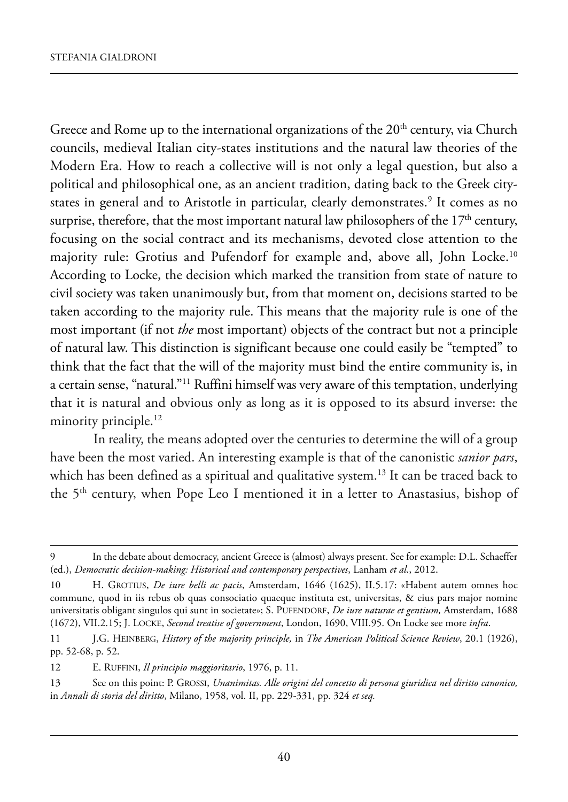Greece and Rome up to the international organizations of the  $20<sup>th</sup>$  century, via Church councils, medieval Italian city-states institutions and the natural law theories of the Modern Era. How to reach a collective will is not only a legal question, but also a political and philosophical one, as an ancient tradition, dating back to the Greek citystates in general and to Aristotle in particular, clearly demonstrates.<sup>9</sup> It comes as no surprise, therefore, that the most important natural law philosophers of the  $17<sup>th</sup>$  century, focusing on the social contract and its mechanisms, devoted close attention to the majority rule: Grotius and Pufendorf for example and, above all, John Locke.<sup>10</sup> According to Locke, the decision which marked the transition from state of nature to civil society was taken unanimously but, from that moment on, decisions started to be taken according to the majority rule. This means that the majority rule is one of the most important (if not *the* most important) objects of the contract but not a principle of natural law. this distinction is significant because one could easily be "tempted" to think that the fact that the will of the majority must bind the entire community is, in a certain sense, "natural."<sup>11</sup> Ruffini himself was very aware of this temptation, underlying that it is natural and obvious only as long as it is opposed to its absurd inverse: the minority principle.<sup>12</sup>

In reality, the means adopted over the centuries to determine the will of a group have been the most varied. An interesting example is that of the canonistic *sanior pars*, which has been defined as a spiritual and qualitative system.<sup>13</sup> It can be traced back to the 5<sup>th</sup> century, when Pope Leo I mentioned it in a letter to Anastasius, bishop of

<sup>9</sup> In the debate about democracy, ancient Greece is (almost) always present. See for example: D.L. Schaeffer (ed.), *Democratic decision-making: Historical and contemporary perspectives*, lanham *et al*., 2012.

<sup>10</sup> h. Grotius, *De iure belli ac pacis*, amsterdam, 1646 (1625), ii.5.17: «habent autem omnes hoc commune, quod in iis rebus ob quas consociatio quaeque instituta est, universitas, & eius pars major nomine universitatis obligant singulos qui sunt in societate»; S. PUFENDORF, *De iure naturae et gentium*, Amsterdam, 1688 (1672), Vii.2.15; J. loCke, *Second treatise of government*, london, 1690, Viii.95. on locke see more *infra*.

<sup>11</sup> J.G. heinBerG, *History of the majority principle,* in *The American Political Science Review*, 20.1 (1926), pp. 52-68, p. 52.

<sup>12</sup> E. RUFFINI, *Il principio maggioritario*, 1976, p. 11.

<sup>13</sup> see on this point: p. Grossi, *Unanimitas. Alle origini del concetto di persona giuridica nel diritto canonico,* in *Annali di storia del diritto*, milano, 1958, vol. ii, pp. 229-331, pp. 324 *et seq.*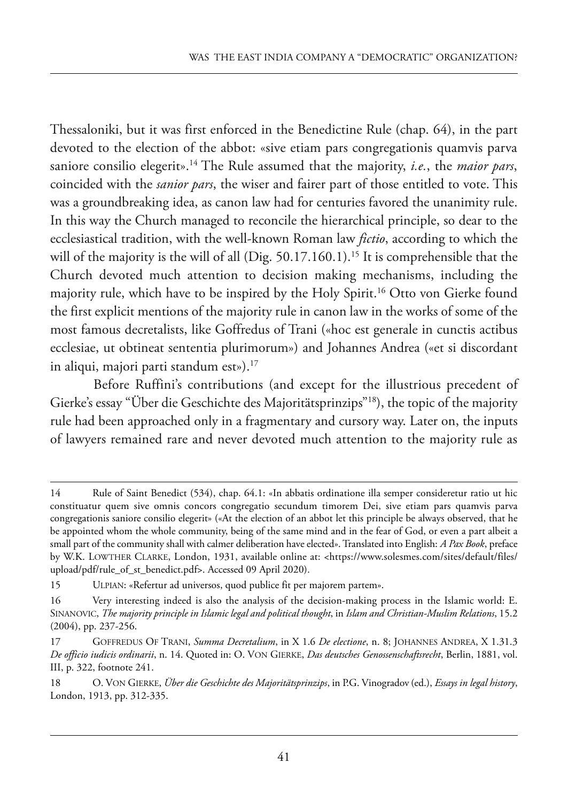Thessaloniki, but it was first enforced in the Benedictine Rule (chap. 64), in the part devoted to the election of the abbot: «sive etiam pars congregationis quamvis parva saniore consilio elegerit».<sup>14</sup> The Rule assumed that the majority, *i.e.*, the *maior pars*, coincided with the *sanior pars*, the wiser and fairer part of those entitled to vote. This was a groundbreaking idea, as canon law had for centuries favored the unanimity rule. In this way the Church managed to reconcile the hierarchical principle, so dear to the ecclesiastical tradition, with the well-known Roman law *fictio*, according to which the will of the majority is the will of all (Dig.  $50.17.160.1$ ).<sup>15</sup> It is comprehensible that the Church devoted much attention to decision making mechanisms, including the majority rule, which have to be inspired by the Holy Spirit.<sup>16</sup> Otto von Gierke found the first explicit mentions of the majority rule in canon law in the works of some of the most famous decretalists, like Goffredus of Trani («hoc est generale in cunctis actibus ecclesiae, ut obtineat sententia plurimorum») and Johannes Andrea («et si discordant in aliqui, majori parti standum est»).<sup>17</sup>

Before Ruffini's contributions (and except for the illustrious precedent of Gierke's essay "Über die Geschichte des Majoritätsprinzips"<sup>18</sup>), the topic of the majority rule had been approached only in a fragmentary and cursory way. later on, the inputs of lawyers remained rare and never devoted much attention to the majority rule as

<sup>14</sup> Rule of Saint Benedict (534), chap. 64.1: «In abbatis ordinatione illa semper consideretur ratio ut hic constituatur quem sive omnis concors congregatio secundum timorem dei, sive etiam pars quamvis parva congregationis saniore consilio elegerit» («at the election of an abbot let this principle be always observed, that he be appointed whom the whole community, being of the same mind and in the fear of God, or even a part albeit a small part of the community shall with calmer deliberation have elected». Translated into English: *A Pax Book*, preface by w.k. lowther Clarke, london, 1931, available online at: [<https://www.solesmes.com/sites/default/files/](https://www.solesmes.com/sites/default/files/upload/pdf/rule_of_st_benedict.pdf) [upload/pdf/rule\\_of\\_st\\_benedict.pdf>.](https://www.solesmes.com/sites/default/files/upload/pdf/rule_of_st_benedict.pdf) Accessed 09 April 2020).

<sup>15</sup> ULPIAN: «Refertur ad universos, quod publice fit per majorem partem».

<sup>16</sup> Very interesting indeed is also the analysis of the decision-making process in the islamic world: e. sinanoViC, *The majority principle in Islamic legal and political thought*, in *Islam and Christian-Muslim Relations*, 15.2 (2004), pp. 237-256.

<sup>17</sup> Goffredus of trani, *Summa Decretalium*, in X 1.6 *De electione*, n. 8; Johannes andrea, X 1.31.3 *De officio iudicis ordinarii*, n. 14. Quoted in: o. Von Gierke, *Das deutsches Genossenschaftsrecht*, Berlin, 1881, vol. III, p. 322, footnote 241.

<sup>18</sup> o. Von Gierke, *Über die Geschichte des Majoritätsprinzips*, in p.G. Vinogradov (ed.), *Essays in legal history*, london, 1913, pp. 312-335.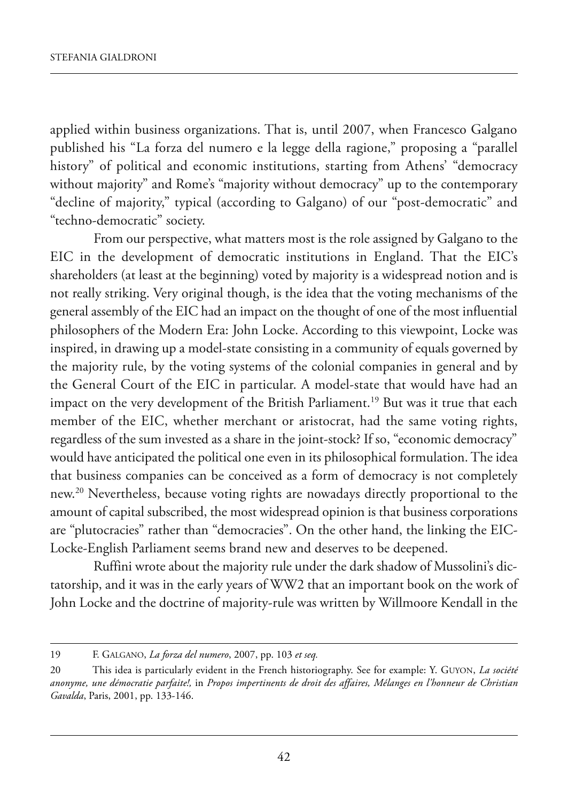applied within business organizations. That is, until 2007, when Francesco Galgano published his "la forza del numero e la legge della ragione," proposing a "parallel history" of political and economic institutions, starting from Athens' "democracy without majority" and Rome's "majority without democracy" up to the contemporary "decline of majority," typical (according to Galgano) of our "post-democratic" and "techno-democratic" society.

from our perspective, what matters most is the role assigned by Galgano to the EIC in the development of democratic institutions in England. That the EIC's shareholders (at least at the beginning) voted by majority is a widespread notion and is not really striking. Very original though, is the idea that the voting mechanisms of the general assembly of the EIC had an impact on the thought of one of the most influential philosophers of the Modern Era: John Locke. According to this viewpoint, Locke was inspired, in drawing up a model-state consisting in a community of equals governed by the majority rule, by the voting systems of the colonial companies in general and by the General Court of the EIC in particular. A model-state that would have had an impact on the very development of the British Parliament.<sup>19</sup> But was it true that each member of the EIC, whether merchant or aristocrat, had the same voting rights, regardless of the sum invested as a share in the joint-stock? if so, "economic democracy" would have anticipated the political one even in its philosophical formulation. The idea that business companies can be conceived as a form of democracy is not completely new.<sup>20</sup> Nevertheless, because voting rights are nowadays directly proportional to the amount of capital subscribed, the most widespread opinion is that business corporations are "plutocracies" rather than "democracies". On the other hand, the linking the EIC-Locke-English Parliament seems brand new and deserves to be deepened.

Ruffini wrote about the majority rule under the dark shadow of Mussolini's dictatorship, and it was in the early years of ww2 that an important book on the work of John locke and the doctrine of majority-rule was written by willmoore kendall in the

<sup>19</sup> f. GalGano, *La forza del numero*, 2007, pp. 103 *et seq.*

<sup>20</sup> this idea is particularly evident in the french historiography. see for example: Y. GuYon, *La société anonyme, une démocratie parfaite!,* in *Propos impertinents de droit des affaires, Mélanges en l'honneur de Christian* Gavalda, Paris, 2001, pp. 133-146.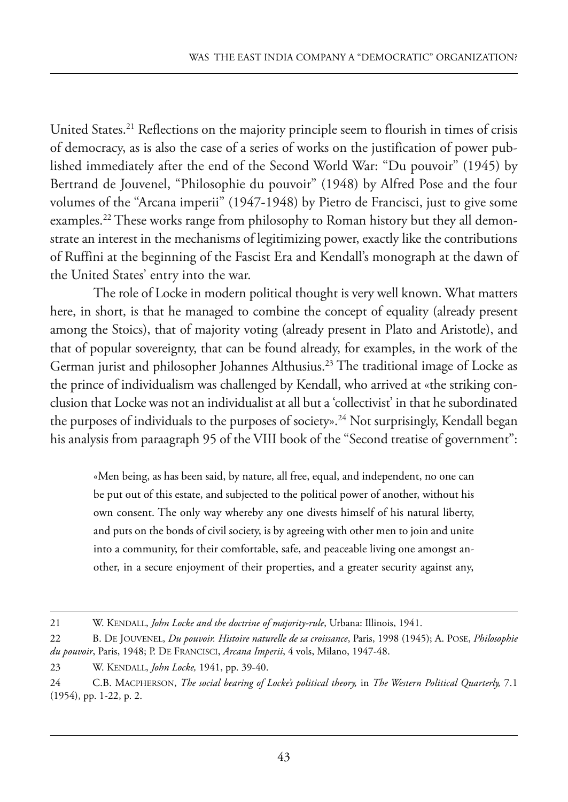United States.<sup>21</sup> Reflections on the majority principle seem to flourish in times of crisis of democracy, as is also the case of a series of works on the justification of power published immediately after the end of the Second World War: "Du pouvoir" (1945) by Bertrand de Jouvenel, "philosophie du pouvoir" (1948) by alfred pose and the four volumes of the "Arcana imperii" (1947-1948) by Pietro de Francisci, just to give some examples.<sup>22</sup> These works range from philosophy to Roman history but they all demonstrate an interest in the mechanisms of legitimizing power, exactly like the contributions of Ruffini at the beginning of the Fascist Era and Kendall's monograph at the dawn of the United States' entry into the war.

The role of Locke in modern political thought is very well known. What matters here, in short, is that he managed to combine the concept of equality (already present among the Stoics), that of majority voting (already present in Plato and Aristotle), and that of popular sovereignty, that can be found already, for examples, in the work of the German jurist and philosopher Johannes Althusius.<sup>23</sup> The traditional image of Locke as the prince of individualism was challenged by kendall, who arrived at «the striking conclusion that locke was not an individualist at all but a 'collectivist' in that he subordinated the purposes of individuals to the purposes of society».<sup>24</sup> Not surprisingly, Kendall began his analysis from paraagraph 95 of the VIII book of the "Second treatise of government":

«men being, as has been said, by nature, all free, equal, and independent, no one can be put out of this estate, and subjected to the political power of another, without his own consent. The only way whereby any one divests himself of his natural liberty, and puts on the bonds of civil society, is by agreeing with other men to join and unite into a community, for their comfortable, safe, and peaceable living one amongst another, in a secure enjoyment of their properties, and a greater security against any,

<sup>21</sup> W. KENDALL, *John Locke and the doctrine of majority-rule*, Urbana: Illinois, 1941.

<sup>22</sup> B. DE JOUVENEL, *Du pouvoir. Histoire naturelle de sa croissance*, Paris, 1998 (1945); A. POSE, *Philosophie du pouvoir*, Paris, 1948; P. DE FRANCISCI, *Arcana Imperii*, 4 vols, Milano, 1947-48.

<sup>23</sup> w. kendall, *John Locke,* 1941, pp. 39-40.

<sup>24</sup> C.B. maCpherson, *The social bearing of Locke's political theory,* in *The Western Political Quarterly,* 7.1 (1954), pp. 1-22, p. 2.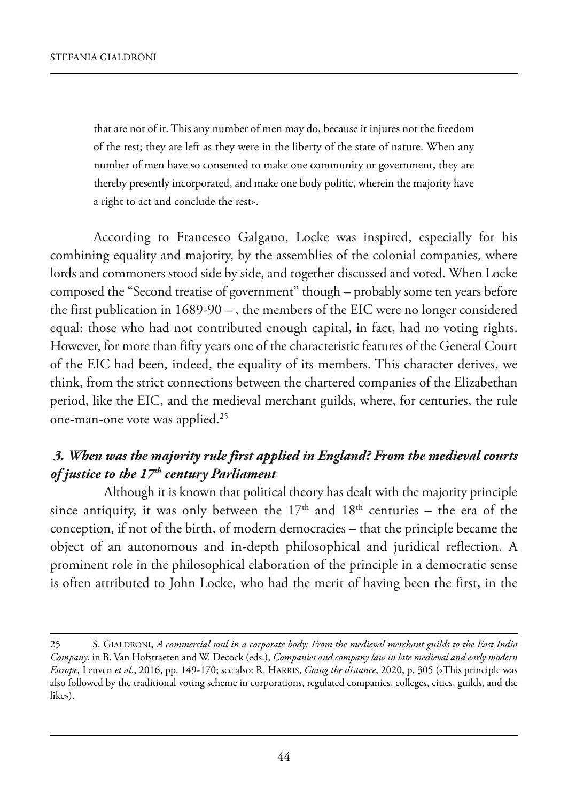that are not of it. This any number of men may do, because it injures not the freedom of the rest; they are left as they were in the liberty of the state of nature. when any number of men have so consented to make one community or government, they are thereby presently incorporated, and make one body politic, wherein the majority have a right to act and conclude the rest».

According to Francesco Galgano, Locke was inspired, especially for his combining equality and majority, by the assemblies of the colonial companies, where lords and commoners stood side by side, and together discussed and voted. when locke composed the "second treatise of government" though – probably some ten years before the first publication in  $1689-90 -$ , the members of the EIC were no longer considered equal: those who had not contributed enough capital, in fact, had no voting rights. however, for more than fifty years one of the characteristic features of the General Court of the eiC had been, indeed, the equality of its members. this character derives, we think, from the strict connections between the chartered companies of the Elizabethan period, like the EIC, and the medieval merchant guilds, where, for centuries, the rule one-man-one vote was applied.25

## *3. When was the majority rule first applied in England? From the medieval courts of justice to the 17<sup>th</sup> century Parliament*

 although it is known that political theory has dealt with the majority principle since antiquity, it was only between the  $17<sup>th</sup>$  and  $18<sup>th</sup>$  centuries – the era of the conception, if not of the birth, of modern democracies – that the principle became the object of an autonomous and in-depth philosophical and juridical reflection. A prominent role in the philosophical elaboration of the principle in a democratic sense is often attributed to John locke, who had the merit of having been the first, in the

<sup>25</sup> s. Gialdroni, *A commercial soul in a corporate body: From the medieval merchant guilds to the East India Company*, in B. Van Hofstraeten and W. Decock (eds.), *Companies and company law in late medieval and early modern Europe*, Leuven *et al.*, 2016, pp. 149-170; see also: R. HARRIS, *Going the distance*, 2020, p. 305 («This principle was also followed by the traditional voting scheme in corporations, regulated companies, colleges, cities, guilds, and the like»).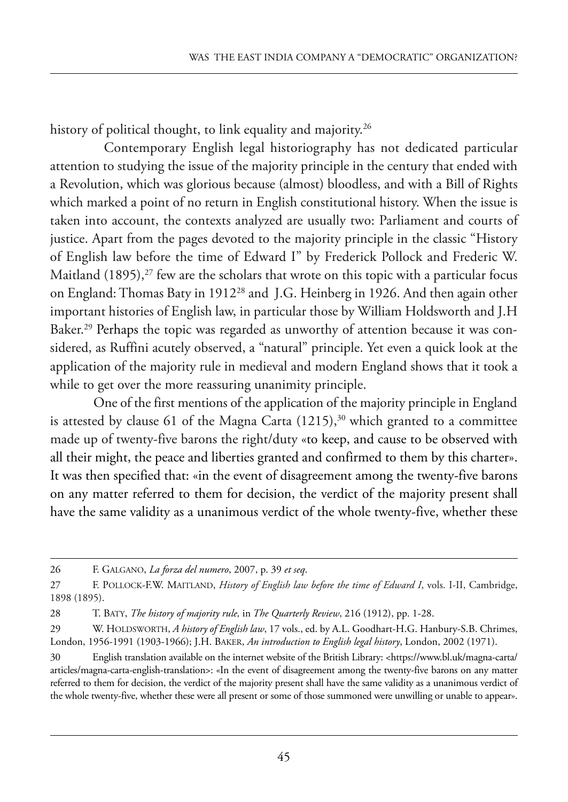history of political thought, to link equality and majority.<sup>26</sup>

Contemporary English legal historiography has not dedicated particular attention to studying the issue of the majority principle in the century that ended with a Revolution, which was glorious because (almost) bloodless, and with a Bill of Rights which marked a point of no return in English constitutional history. When the issue is taken into account, the contexts analyzed are usually two: Parliament and courts of justice. Apart from the pages devoted to the majority principle in the classic "History of English law before the time of Edward I" by Frederick Pollock and Frederic W. Maitland  $(1895)$ ,<sup>27</sup> few are the scholars that wrote on this topic with a particular focus on England: Thomas Baty in 1912<sup>28</sup> and J.G. Heinberg in 1926. And then again other important histories of English law, in particular those by William Holdsworth and J.H Baker.<sup>29</sup> Perhaps the topic was regarded as unworthy of attention because it was considered, as Ruffini acutely observed, a "natural" principle. Yet even a quick look at the application of the majority rule in medieval and modern England shows that it took a while to get over the more reassuring unanimity principle.

One of the first mentions of the application of the majority principle in England is attested by clause 61 of the Magna Carta  $(1215),<sup>30</sup>$  which granted to a committee made up of twenty-five barons the right/duty «to keep, and cause to be observed with all their might, the peace and liberties granted and confirmed to them by this charter». It was then specified that: «in the event of disagreement among the twenty-five barons on any matter referred to them for decision, the verdict of the majority present shall have the same validity as a unanimous verdict of the whole twenty-five, whether these

<sup>26</sup> f. GalGano, *La forza del numero*, 2007, p. 39 *et seq*.

<sup>27</sup> F. POLLOCK-F.W. MAITLAND, *History of English law before the time of Edward I*, vols. I-II, Cambridge, 1898 (1895).

<sup>28</sup> t. BatY, *The history of majority rule,* in *The Quarterly Review*, 216 (1912), pp. 1-28.

<sup>29</sup> W. HOLDSWORTH, *A history of English law*, 17 vols., ed. by A.L. Goodhart-H.G. Hanbury-S.B. Chrimes, london, 1956-1991 (1903-1966); J.h. Baker, *An introduction to English legal history*, london, 2002 (1971).

<sup>30</sup> english translation available on the internet website of the British library: [<https://www.bl.uk/magna-carta/](https://www.bl.uk/magna-carta/articles/magna-carta-english-translation) [articles/magna-carta-english-translation>:](https://www.bl.uk/magna-carta/articles/magna-carta-english-translation) «In the event of disagreement among the twenty-five barons on any matter referred to them for decision, the verdict of the majority present shall have the same validity as a unanimous verdict of the whole twenty-five, whether these were all present or some of those summoned were unwilling or unable to appear».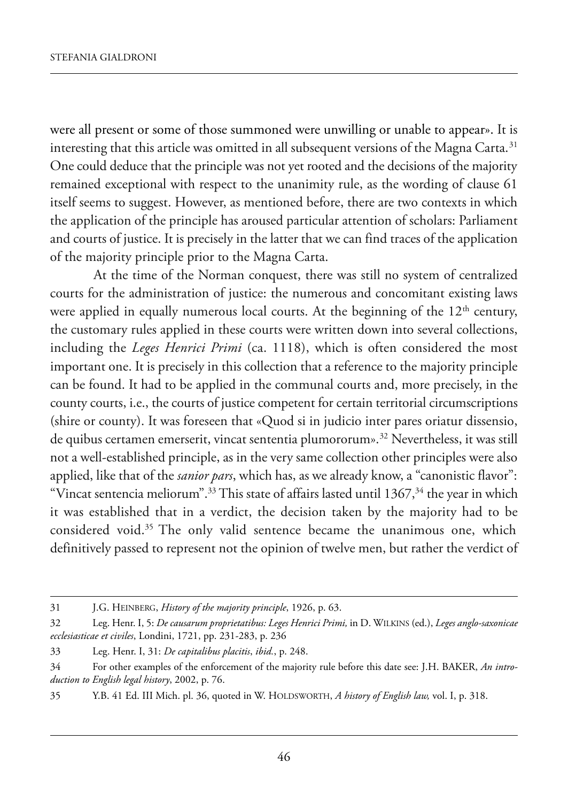were all present or some of those summoned were unwilling or unable to appear». It is interesting that this article was omitted in all subsequent versions of the Magna Carta.<sup>31</sup> One could deduce that the principle was not yet rooted and the decisions of the majority remained exceptional with respect to the unanimity rule, as the wording of clause 61 itself seems to suggest. However, as mentioned before, there are two contexts in which the application of the principle has aroused particular attention of scholars: Parliament and courts of justice. it is precisely in the latter that we can find traces of the application of the majority principle prior to the Magna Carta.

At the time of the Norman conquest, there was still no system of centralized courts for the administration of justice: the numerous and concomitant existing laws were applied in equally numerous local courts. At the beginning of the  $12<sup>th</sup>$  century, the customary rules applied in these courts were written down into several collections, including the *Leges Henrici Primi* (ca. 1118), which is often considered the most important one. It is precisely in this collection that a reference to the majority principle can be found. it had to be applied in the communal courts and, more precisely, in the county courts, i.e., the courts of justice competent for certain territorial circumscriptions (shire or county). It was foreseen that «Quod si in judicio inter pares oriatur dissensio, de quibus certamen emerserit, vincat sententia plumororum».<sup>32</sup> Nevertheless, it was still not a well-established principle, as in the very same collection other principles were also applied, like that of the *sanior pars*, which has, as we already know, a "canonistic flavor": "Vincat sentencia meliorum".<sup>33</sup> This state of affairs lasted until  $1367$ ,<sup>34</sup> the year in which it was established that in a verdict, the decision taken by the majority had to be considered void.<sup>35</sup> The only valid sentence became the unanimous one, which definitively passed to represent not the opinion of twelve men, but rather the verdict of

<sup>31</sup> J.G. heinBerG, *History of the majority principle*, 1926, p. 63.

<sup>32</sup> leg. henr. i, 5: *De causarum proprietatibus: Leges Henrici Primi,* in d. wilkins (ed.), *Leges anglo-saxonicae ecclesiasticae et civiles*, londini, 1721, pp. 231-283, p. 236

<sup>33</sup> leg. henr. i, 31: *De capitalibus placitis*, *ibid.*, p. 248.

<sup>34</sup> for other examples of the enforcement of the majority rule before this date see: J.h. Baker, *An introduction to English legal history*, 2002, p. 76.

<sup>35</sup> Y.B. 41 ed. iii mich. pl. 36, quoted in w. holdsworth, *A history of English law,* vol. i, p. 318.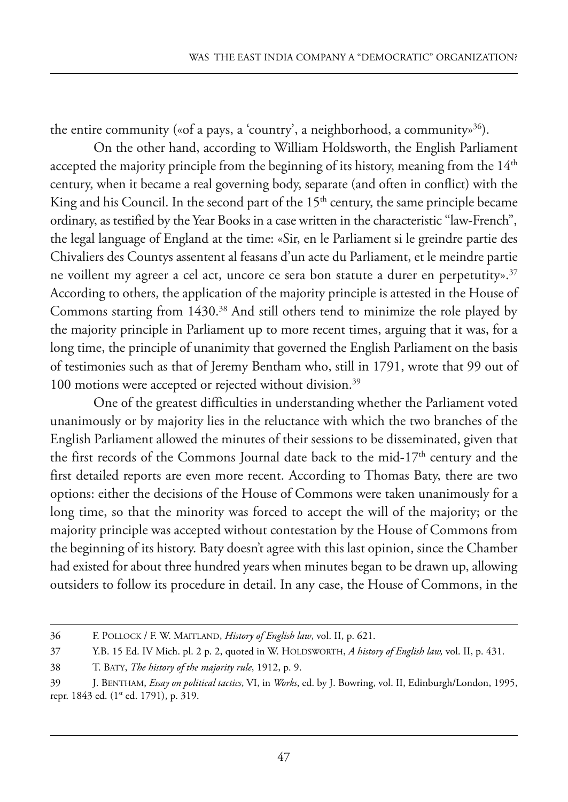the entire community («of a pays, a 'country', a neighborhood, a community»<sup>36</sup>).

On the other hand, according to William Holdsworth, the English Parliament accepted the majority principle from the beginning of its history, meaning from the  $14<sup>th</sup>$ century, when it became a real governing body, separate (and often in conflict) with the King and his Council. In the second part of the  $15<sup>th</sup>$  century, the same principle became ordinary, as testified by the Year Books in a case written in the characteristic "law-french", the legal language of England at the time: «Sir, en le Parliament si le greindre partie des Chivaliers des Countys assentent al feasans d'un acte du parliament, et le meindre partie ne voillent my agreer a cel act, uncore ce sera bon statute a durer en perpetutity».<sup>37</sup> According to others, the application of the majority principle is attested in the House of Commons starting from 1430.<sup>38</sup> And still others tend to minimize the role played by the majority principle in Parliament up to more recent times, arguing that it was, for a long time, the principle of unanimity that governed the English Parliament on the basis of testimonies such as that of Jeremy Bentham who, still in 1791, wrote that 99 out of 100 motions were accepted or rejected without division.<sup>39</sup>

One of the greatest difficulties in understanding whether the Parliament voted unanimously or by majority lies in the reluctance with which the two branches of the English Parliament allowed the minutes of their sessions to be disseminated, given that the first records of the Commons Journal date back to the mid-17<sup>th</sup> century and the first detailed reports are even more recent. According to Thomas Baty, there are two options: either the decisions of the house of Commons were taken unanimously for a long time, so that the minority was forced to accept the will of the majority; or the majority principle was accepted without contestation by the House of Commons from the beginning of its history. Baty doesn't agree with this last opinion, since the Chamber had existed for about three hundred years when minutes began to be drawn up, allowing outsiders to follow its procedure in detail. in any case, the house of Commons, in the

<sup>36</sup> f. polloCk / f. w. maitland, *History of English law*, vol. ii, p. 621.

<sup>37</sup> Y.B. 15 ed. iV mich. pl. 2 p. 2, quoted in w. holdsworth, *A history of English law,* vol. ii, p. 431.

<sup>38</sup> t. BatY, *The history of the majority rule*, 1912, p. 9.

<sup>39</sup> J. Bentham, *Essay on political tactics*, Vi, in *Works*, ed. by J. Bowring, vol. ii, edinburgh/london, 1995, repr. 1843 ed. (1st ed. 1791), p. 319.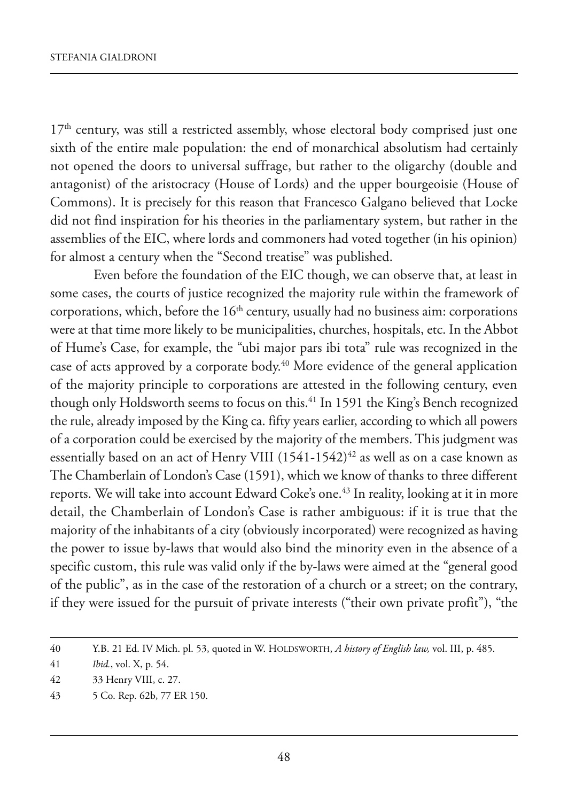17<sup>th</sup> century, was still a restricted assembly, whose electoral body comprised just one sixth of the entire male population: the end of monarchical absolutism had certainly not opened the doors to universal suffrage, but rather to the oligarchy (double and antagonist) of the aristocracy (House of Lords) and the upper bourgeoisie (House of Commons). it is precisely for this reason that francesco Galgano believed that locke did not find inspiration for his theories in the parliamentary system, but rather in the assemblies of the EIC, where lords and commoners had voted together (in his opinion) for almost a century when the "Second treatise" was published.

Even before the foundation of the EIC though, we can observe that, at least in some cases, the courts of justice recognized the majority rule within the framework of corporations, which, before the  $16<sup>th</sup>$  century, usually had no business aim: corporations were at that time more likely to be municipalities, churches, hospitals, etc. In the Abbot of hume's Case, for example, the "ubi major pars ibi tota" rule was recognized in the case of acts approved by a corporate body.<sup>40</sup> More evidence of the general application of the majority principle to corporations are attested in the following century, even though only Holdsworth seems to focus on this.<sup>41</sup> In 1591 the King's Bench recognized the rule, already imposed by the king ca. fifty years earlier, according to which all powers of a corporation could be exercised by the majority of the members. This judgment was essentially based on an act of Henry VIII  $(1541-1542)^{42}$  as well as on a case known as The Chamberlain of London's Case (1591), which we know of thanks to three different reports. We will take into account Edward Coke's one.<sup>43</sup> In reality, looking at it in more detail, the Chamberlain of london's Case is rather ambiguous: if it is true that the majority of the inhabitants of a city (obviously incorporated) were recognized as having the power to issue by-laws that would also bind the minority even in the absence of a specific custom, this rule was valid only if the by-laws were aimed at the "general good of the public", as in the case of the restoration of a church or a street; on the contrary, if they were issued for the pursuit of private interests ("their own private profit"), "the

<sup>40</sup> Y.B. 21 ed. iV mich. pl. 53, quoted in w. holdsworth, *A history of English law,* vol. iii, p. 485.

<sup>41</sup> *Ibid.*, vol. X, p. 54.

<sup>42 33</sup> Henry VIII, c. 27.

<sup>43 5</sup> Co. Rep. 62b, 77 ER 150.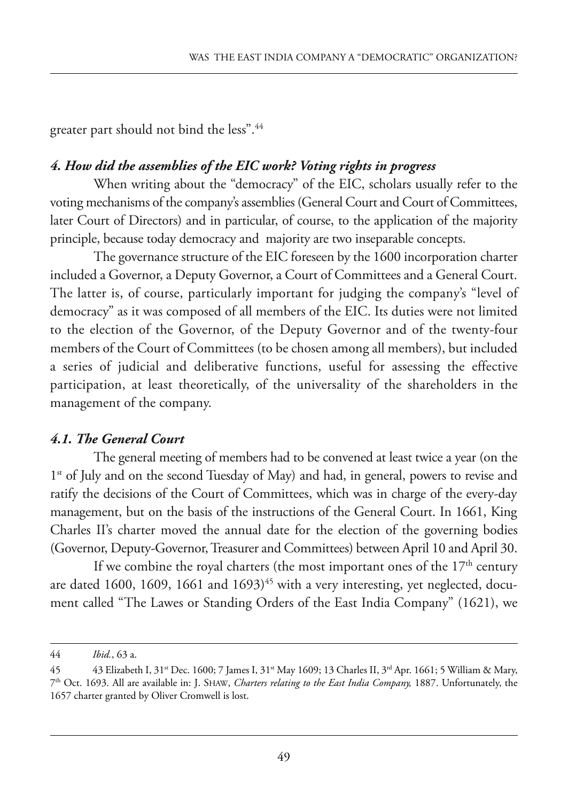greater part should not bind the less".44

### *4. How did the assemblies of the EIC work? Voting rights in progress*

When writing about the "democracy" of the EIC, scholars usually refer to the voting mechanisms of the company's assemblies (General Court and Court of Committees, later Court of Directors) and in particular, of course, to the application of the majority principle, because today democracy and majority are two inseparable concepts.

The governance structure of the EIC foreseen by the 1600 incorporation charter included a Governor, a Deputy Governor, a Court of Committees and a General Court. The latter is, of course, particularly important for judging the company's "level of democracy" as it was composed of all members of the EIC. Its duties were not limited to the election of the Governor, of the Deputy Governor and of the twenty-four members of the Court of Committees (to be chosen among all members), but included a series of judicial and deliberative functions, useful for assessing the effective participation, at least theoretically, of the universality of the shareholders in the management of the company.

### *4.1. The General Court*

The general meeting of members had to be convened at least twice a year (on the  $1<sup>st</sup>$  of July and on the second Tuesday of May) and had, in general, powers to revise and ratify the decisions of the Court of Committees, which was in charge of the every-day management, but on the basis of the instructions of the General Court. in 1661, king Charles II's charter moved the annual date for the election of the governing bodies (Governor, Deputy-Governor, Treasurer and Committees) between April 10 and April 30.

If we combine the royal charters (the most important ones of the  $17<sup>th</sup>$  century are dated 1600, 1609, 1661 and  $1693)^{45}$  with a very interesting, yet neglected, document called "The Lawes or Standing Orders of the East India Company" (1621), we

<sup>44</sup> *Ibid.*, 63 a.

<sup>45 43</sup> Elizabeth I, 31<sup>st</sup> Dec. 1600; 7 James I, 31<sup>st</sup> May 1609; 13 Charles II, 3<sup>rd</sup> Apr. 1661; 5 William & Mary, 7th oct. 1693. all are available in: J. shaw, *Charters relating to the East India Company,* 1887. unfortunately, the 1657 charter granted by Oliver Cromwell is lost.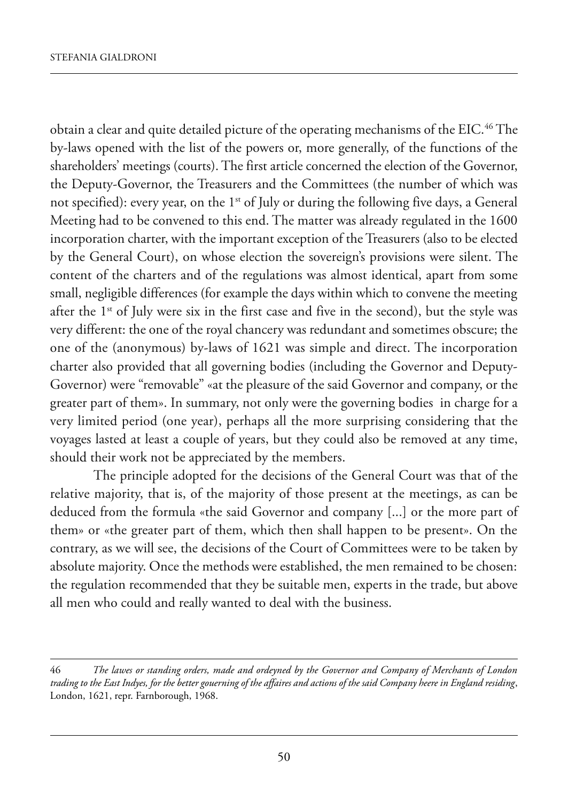obtain a clear and quite detailed picture of the operating mechanisms of the EIC.<sup>46</sup> The by-laws opened with the list of the powers or, more generally, of the functions of the shareholders' meetings (courts). The first article concerned the election of the Governor, the Deputy-Governor, the Treasurers and the Committees (the number of which was not specified): every year, on the 1<sup>st</sup> of July or during the following five days, a General Meeting had to be convened to this end. The matter was already regulated in the 1600 incorporation charter, with the important exception of the Treasurers (also to be elected by the General Court), on whose election the sovereign's provisions were silent. The content of the charters and of the regulations was almost identical, apart from some small, negligible differences (for example the days within which to convene the meeting after the 1<sup>st</sup> of July were six in the first case and five in the second), but the style was very different: the one of the royal chancery was redundant and sometimes obscure; the one of the (anonymous) by-laws of 1621 was simple and direct. The incorporation charter also provided that all governing bodies (including the Governor and Deputy-Governor) were "removable" «at the pleasure of the said Governor and company, or the greater part of them». In summary, not only were the governing bodies in charge for a very limited period (one year), perhaps all the more surprising considering that the voyages lasted at least a couple of years, but they could also be removed at any time, should their work not be appreciated by the members.

The principle adopted for the decisions of the General Court was that of the relative majority, that is, of the majority of those present at the meetings, as can be deduced from the formula «the said Governor and company [...] or the more part of them» or «the greater part of them, which then shall happen to be present». On the contrary, as we will see, the decisions of the Court of Committees were to be taken by absolute majority. Once the methods were established, the men remained to be chosen: the regulation recommended that they be suitable men, experts in the trade, but above all men who could and really wanted to deal with the business.

<sup>46</sup> *The lawes or standing orders, made and ordeyned by the Governor and Company of Merchants of London trading to the East Indyes, for the better gouerning of the affaires and actions of the said Company heere in England residing*, london, 1621, repr. farnborough, 1968.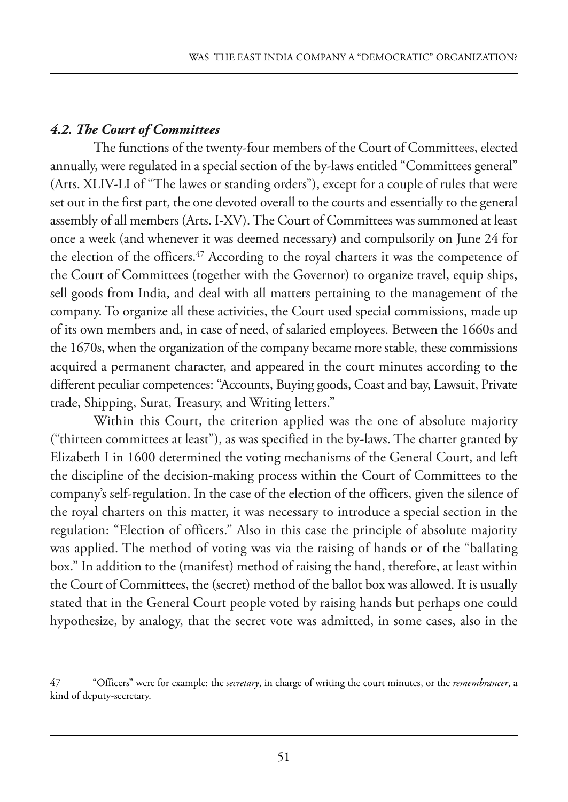## *4.2. The Court of Committees*

The functions of the twenty-four members of the Court of Committees, elected annually, were regulated in a special section of the by-laws entitled "Committees general" (Arts. XLIV-LI of "The lawes or standing orders"), except for a couple of rules that were set out in the first part, the one devoted overall to the courts and essentially to the general assembly of all members (arts. i-XV). the Court of Committees was summoned at least once a week (and whenever it was deemed necessary) and compulsorily on June 24 for the election of the officers.<sup>47</sup> According to the royal charters it was the competence of the Court of Committees (together with the Governor) to organize travel, equip ships, sell goods from india, and deal with all matters pertaining to the management of the company. to organize all these activities, the Court used special commissions, made up of its own members and, in case of need, of salaried employees. Between the 1660s and the 1670s, when the organization of the company became more stable, these commissions acquired a permanent character, and appeared in the court minutes according to the different peculiar competences: "Accounts, Buying goods, Coast and bay, Lawsuit, Private trade, Shipping, Surat, Treasury, and Writing letters."

within this Court, the criterion applied was the one of absolute majority ("thirteen committees at least"), as was specified in the by-laws. the charter granted by Elizabeth I in 1600 determined the voting mechanisms of the General Court, and left the discipline of the decision-making process within the Court of Committees to the company's self-regulation. in the case of the election of the officers, given the silence of the royal charters on this matter, it was necessary to introduce a special section in the regulation: "Election of officers." Also in this case the principle of absolute majority was applied. The method of voting was via the raising of hands or of the "ballating box." in addition to the (manifest) method of raising the hand, therefore, at least within the Court of Committees, the (secret) method of the ballot box was allowed. it is usually stated that in the General Court people voted by raising hands but perhaps one could hypothesize, by analogy, that the secret vote was admitted, in some cases, also in the

<sup>47 &</sup>quot;officers" were for example: the *secretary*, in charge of writing the court minutes, or the *remembrancer*, a kind of deputy-secretary.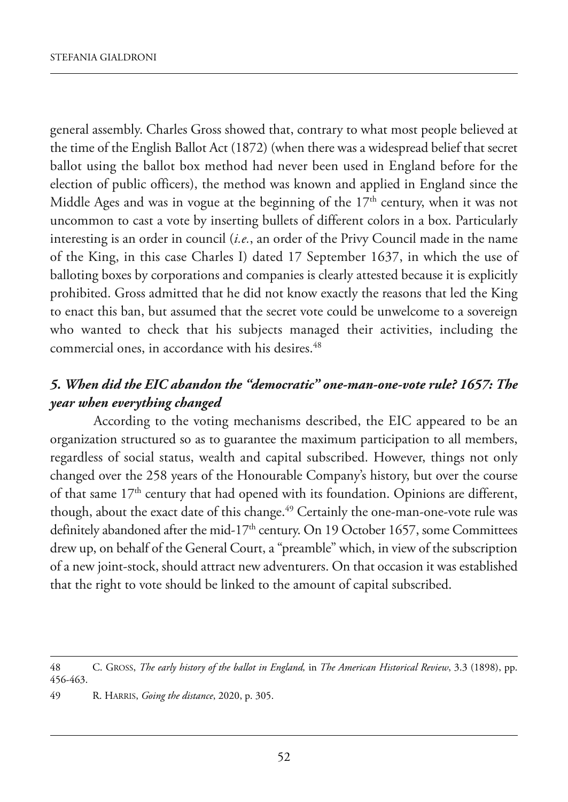general assembly. Charles Gross showed that, contrary to what most people believed at the time of the English Ballot Act (1872) (when there was a widespread belief that secret ballot using the ballot box method had never been used in England before for the election of public officers), the method was known and applied in England since the Middle Ages and was in vogue at the beginning of the  $17<sup>th</sup>$  century, when it was not uncommon to cast a vote by inserting bullets of different colors in a box. Particularly interesting is an order in council (*i.e.*, an order of the Privy Council made in the name of the king, in this case Charles i) dated 17 september 1637, in which the use of balloting boxes by corporations and companies is clearly attested because it is explicitly prohibited. Gross admitted that he did not know exactly the reasons that led the king to enact this ban, but assumed that the secret vote could be unwelcome to a sovereign who wanted to check that his subjects managed their activities, including the commercial ones, in accordance with his desires.<sup>48</sup>

## *5. When did the EIC abandon the "democratic" one-man-one-vote rule? 1657: The year when everything changed*

According to the voting mechanisms described, the EIC appeared to be an organization structured so as to guarantee the maximum participation to all members, regardless of social status, wealth and capital subscribed. however, things not only changed over the 258 years of the Honourable Company's history, but over the course of that same  $17<sup>th</sup>$  century that had opened with its foundation. Opinions are different, though, about the exact date of this change.<sup>49</sup> Certainly the one-man-one-vote rule was definitely abandoned after the mid-17<sup>th</sup> century. On 19 October 1657, some Committees drew up, on behalf of the General Court, a "preamble" which, in view of the subscription of a new joint-stock, should attract new adventurers. On that occasion it was established that the right to vote should be linked to the amount of capital subscribed.

<sup>48</sup> C. Gross, *The early history of the ballot in England,* in *The American Historical Review*, 3.3 (1898), pp. 456-463.

<sup>49</sup> r. harris, *Going the distance*, 2020, p. 305.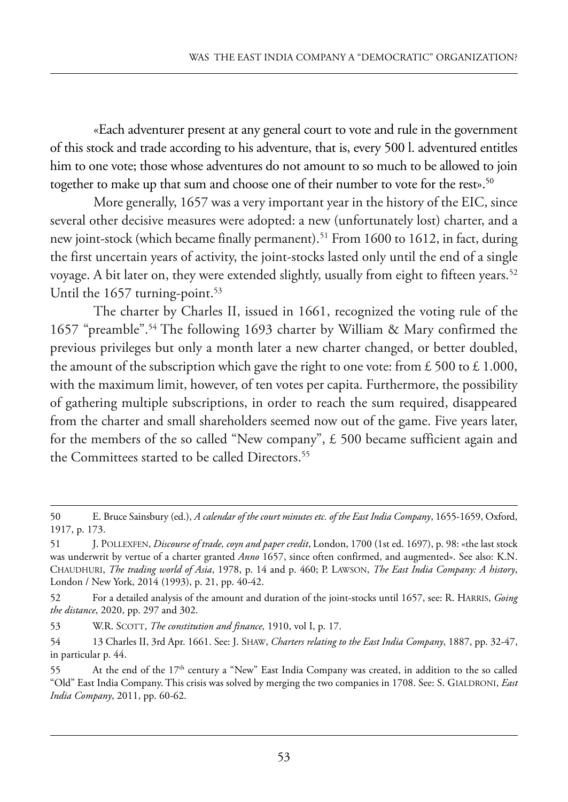«Each adventurer present at any general court to vote and rule in the government of this stock and trade according to his adventure, that is, every 500 l. adventured entitles him to one vote; those whose adventures do not amount to so much to be allowed to join together to make up that sum and choose one of their number to vote for the rest».<sup>50</sup>

More generally, 1657 was a very important year in the history of the EIC, since several other decisive measures were adopted: a new (unfortunately lost) charter, and a new joint-stock (which became finally permanent).<sup>51</sup> From 1600 to 1612, in fact, during the first uncertain years of activity, the joint-stocks lasted only until the end of a single voyage. A bit later on, they were extended slightly, usually from eight to fifteen years.<sup>52</sup> Until the  $1657$  turning-point.<sup>53</sup>

The charter by Charles II, issued in 1661, recognized the voting rule of the 1657 "preamble".<sup>54</sup> The following 1693 charter by William & Mary confirmed the previous privileges but only a month later a new charter changed, or better doubled, the amount of the subscription which gave the right to one vote: from £ 500 to £ 1.000, with the maximum limit, however, of ten votes per capita. Furthermore, the possibility of gathering multiple subscriptions, in order to reach the sum required, disappeared from the charter and small shareholders seemed now out of the game. five years later, for the members of the so called "New company",  $\pm$  500 became sufficient again and the Committees started to be called Directors.<sup>55</sup>

<sup>50</sup> e. Bruce sainsbury (ed.), *A calendar of the court minutes etc. of the East India Company*, 1655-1659, oxford, 1917, p. 173.

<sup>51</sup> J. polleXfen, *Discourse of trade, coyn and paper credit*, london, 1700 (1st ed. 1697), p. 98: «the last stock was underwrit by vertue of a charter granted *Anno* 1657, since often confirmed, and augmented». See also: K.N. Chaudhuri, *The trading world of Asia*, 1978, p. 14 and p. 460; p. lawson, *The East India Company: A history*, London / New York, 2014 (1993), p. 21, pp. 40-42.

<sup>52</sup> For a detailed analysis of the amount and duration of the joint-stocks until 1657, see: R. HARRIS, *Going the distance*, 2020, pp. 297 and 302.

<sup>53</sup> W.R. SCOTT, *The constitution and finance*, 1910, vol I, p. 17.

<sup>54 13</sup> Charles ii, 3rd apr. 1661. see: J. shaw, *Charters relating to the East India Company*, 1887, pp. 32-47, in particular p. 44.

<sup>55</sup> At the end of the 17<sup>th</sup> century a "New" East India Company was created, in addition to the so called "Old" East India Company. This crisis was solved by merging the two companies in 1708. See: S. GIALDRONI, *East India Company*, 2011, pp. 60-62.